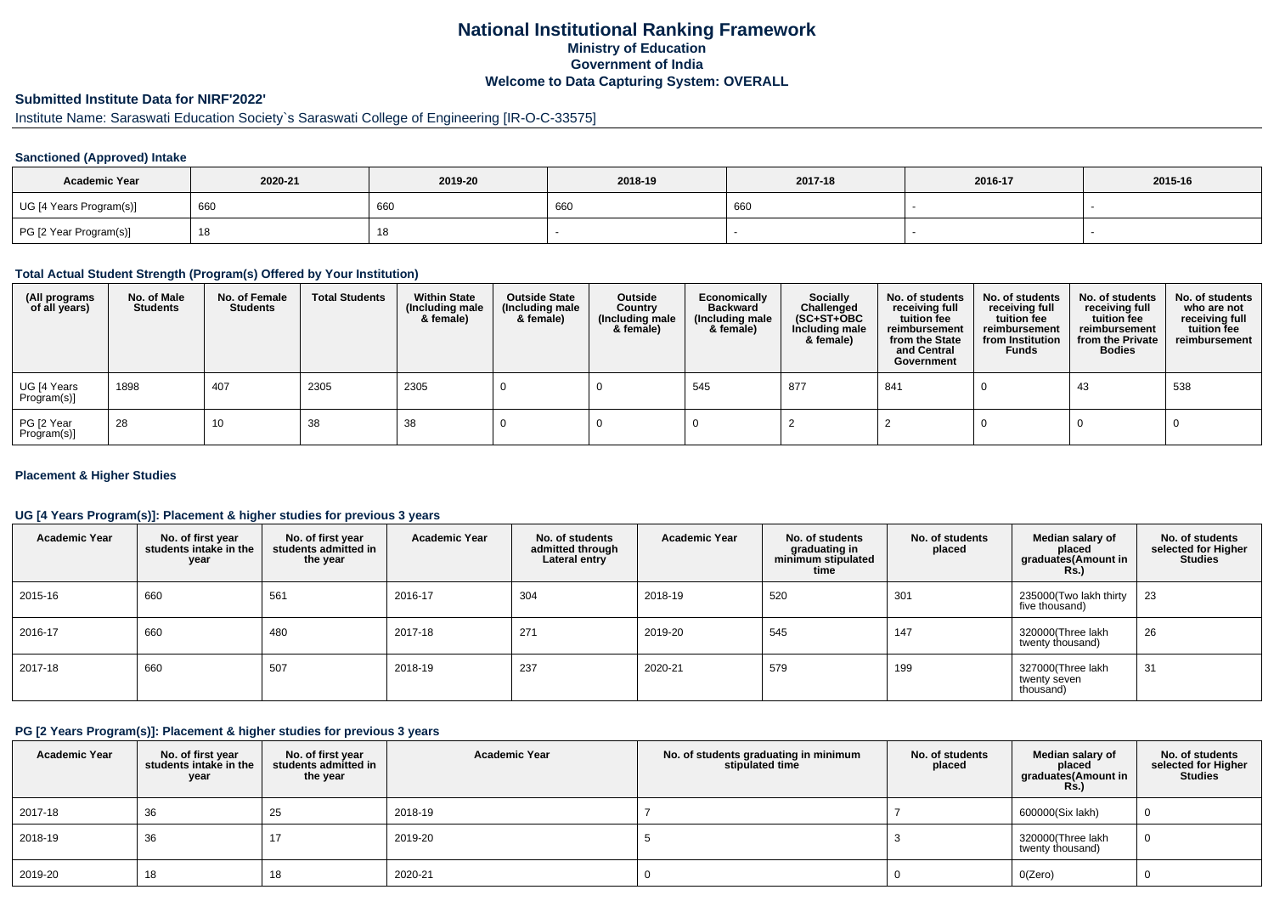## **National Institutional Ranking FrameworkMinistry of Education Government of IndiaWelcome to Data Capturing System: OVERALL**

# **Submitted Institute Data for NIRF'2022'**

# Institute Name: Saraswati Education Society`s Saraswati College of Engineering [IR-O-C-33575]

### **Sanctioned (Approved) Intake**

| <b>Academic Year</b>    | 2020-21 | 2019-20    | 2018-19 | 2017-18 | 2016-17 | 2015-16 |
|-------------------------|---------|------------|---------|---------|---------|---------|
| UG [4 Years Program(s)] | 660     | 660        | 660     | 660     |         |         |
| PG [2 Year Program(s)]  |         | 4 C<br>10. |         |         |         |         |

#### **Total Actual Student Strength (Program(s) Offered by Your Institution)**

| (All programs<br>of all years) | No. of Male<br><b>Students</b> | No. of Female<br>Students | <b>Total Students</b> | <b>Within State</b><br>(Including male<br>& female) | <b>Outside State</b><br>(Including male<br>& female) | Outside<br>Country<br>(Including male<br>& female) | Economically<br><b>Backward</b><br>(Including male<br>& female) | <b>Socially</b><br>Challenged<br>$(SC+ST+OBC)$<br>Including male<br>& female) | No. of students<br>receiving full<br>tuition fee<br>reimbursement<br>from the State<br>and Central<br>Government | No. of students<br>receiving full<br>tuition fee<br>reimbursement<br>from Institution<br><b>Funds</b> | No. of students<br>receiving full<br>tuition fee<br>reimbursement<br>from the Private<br><b>Bodies</b> | No. of students<br>who are not<br>receiving full<br>tuition fee<br>reimbursement |
|--------------------------------|--------------------------------|---------------------------|-----------------------|-----------------------------------------------------|------------------------------------------------------|----------------------------------------------------|-----------------------------------------------------------------|-------------------------------------------------------------------------------|------------------------------------------------------------------------------------------------------------------|-------------------------------------------------------------------------------------------------------|--------------------------------------------------------------------------------------------------------|----------------------------------------------------------------------------------|
| UG [4 Years<br>Program(s)]     | 1898                           | 407                       | 2305                  | 2305                                                |                                                      |                                                    | 545                                                             | 877                                                                           | 841                                                                                                              |                                                                                                       | 43                                                                                                     | 538                                                                              |
| PG [2 Year<br>Program(s)]      | 28                             | 10                        | 38                    | 38                                                  |                                                      |                                                    |                                                                 |                                                                               |                                                                                                                  |                                                                                                       |                                                                                                        |                                                                                  |

### **Placement & Higher Studies**

### **UG [4 Years Program(s)]: Placement & higher studies for previous 3 years**

| <b>Academic Year</b> | No. of first year<br>students intake in the<br>year | No. of first vear<br>students admitted in<br>the year | <b>Academic Year</b> | No. of students<br>admitted through<br>Lateral entry | <b>Academic Year</b> | No. of students<br>graduating in<br>minimum stipulated<br>time | No. of students<br>placed | Median salary of<br>placed<br>graduates (Amount in<br>Rs. | No. of students<br>selected for Higher<br><b>Studies</b> |
|----------------------|-----------------------------------------------------|-------------------------------------------------------|----------------------|------------------------------------------------------|----------------------|----------------------------------------------------------------|---------------------------|-----------------------------------------------------------|----------------------------------------------------------|
| 2015-16              | 660                                                 | 561                                                   | 2016-17              | 304                                                  | 2018-19              | 520                                                            | 301                       | 235000(Two lakh thirty<br>five thousand)                  | 23                                                       |
| 2016-17              | 660                                                 | 480                                                   | 2017-18              | 271                                                  | 2019-20              | 545                                                            | 147                       | 320000(Three lakh<br>twenty thousand)                     | 26                                                       |
| 2017-18              | 660                                                 | 507                                                   | 2018-19              | 237                                                  | 2020-21              | 579                                                            | 199                       | 327000(Three lakh<br>twenty seven<br>thousand)            | 31                                                       |

### **PG [2 Years Program(s)]: Placement & higher studies for previous 3 years**

| <b>Academic Year</b> | No. of first year<br>students intake in the<br>year | No. of first year<br>students admitted in<br>the year | <b>Academic Year</b> | No. of students graduating in minimum<br>stipulated time | No. of students<br>placed | Median salary of<br>placed<br>graduates(Amount in<br><b>Rs.)</b> | No. of students<br>selected for Higher<br><b>Studies</b> |
|----------------------|-----------------------------------------------------|-------------------------------------------------------|----------------------|----------------------------------------------------------|---------------------------|------------------------------------------------------------------|----------------------------------------------------------|
| 2017-18              | 36                                                  | 25                                                    | 2018-19              |                                                          |                           | 600000(Six lakh)                                                 |                                                          |
| 2018-19              | 36                                                  | 17                                                    | 2019-20              |                                                          |                           | 320000(Three lakh<br>twenty thousand)                            |                                                          |
| 2019-20              | 18                                                  | 18                                                    | 2020-21              |                                                          |                           | O(Zero)                                                          |                                                          |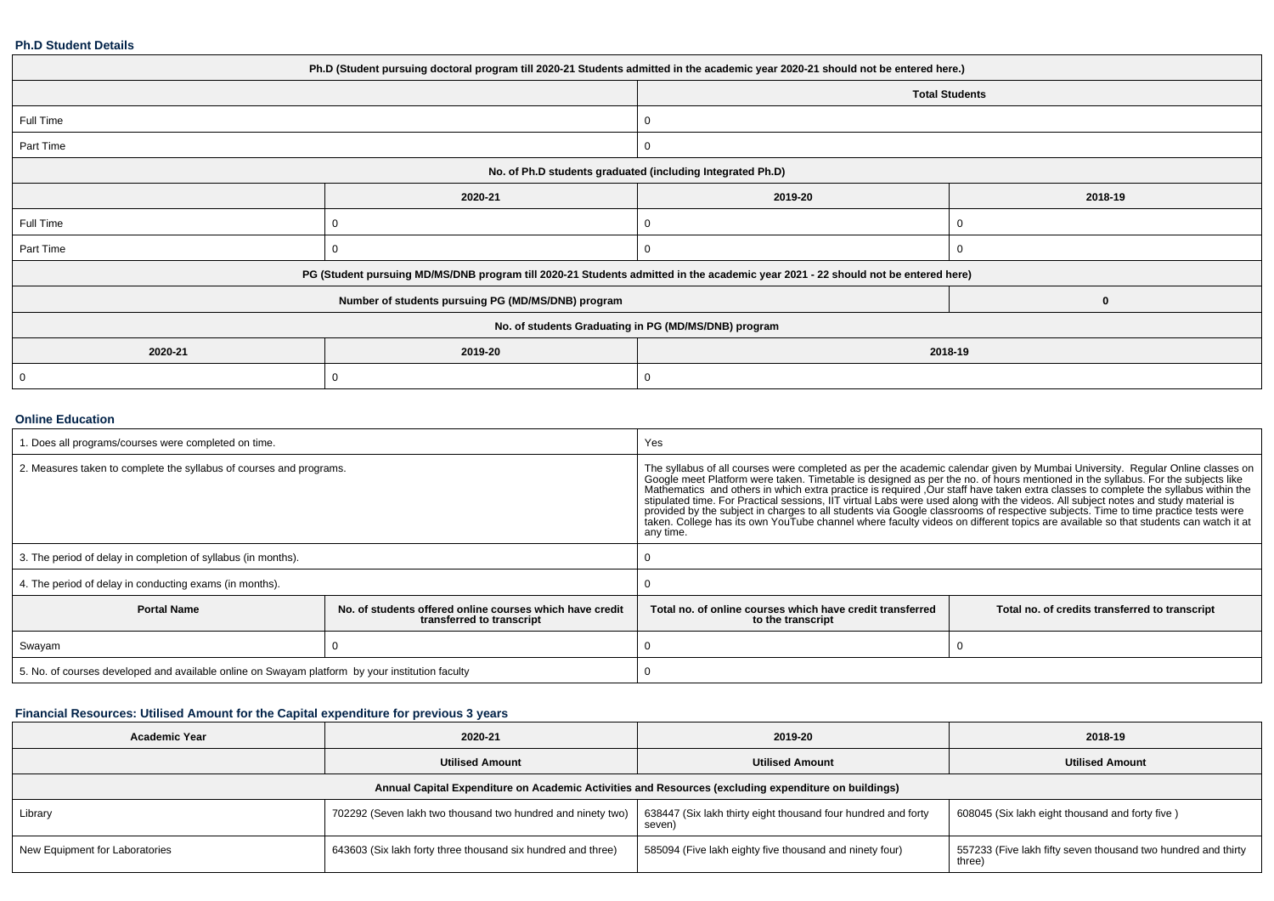#### **Ph.D Student Details**

| Ph.D (Student pursuing doctoral program till 2020-21 Students admitted in the academic year 2020-21 should not be entered here.) |                                                    |                                                                                                                                  |                       |  |  |
|----------------------------------------------------------------------------------------------------------------------------------|----------------------------------------------------|----------------------------------------------------------------------------------------------------------------------------------|-----------------------|--|--|
|                                                                                                                                  |                                                    |                                                                                                                                  | <b>Total Students</b> |  |  |
| Full Time                                                                                                                        |                                                    |                                                                                                                                  |                       |  |  |
| Part Time                                                                                                                        |                                                    |                                                                                                                                  |                       |  |  |
| No. of Ph.D students graduated (including Integrated Ph.D)                                                                       |                                                    |                                                                                                                                  |                       |  |  |
|                                                                                                                                  | 2020-21                                            | 2019-20                                                                                                                          | 2018-19               |  |  |
| Full Time                                                                                                                        | $\Omega$                                           |                                                                                                                                  |                       |  |  |
| Part Time                                                                                                                        | 0                                                  |                                                                                                                                  |                       |  |  |
|                                                                                                                                  |                                                    | PG (Student pursuing MD/MS/DNB program till 2020-21 Students admitted in the academic year 2021 - 22 should not be entered here) |                       |  |  |
|                                                                                                                                  | Number of students pursuing PG (MD/MS/DNB) program |                                                                                                                                  | 0                     |  |  |
| No. of students Graduating in PG (MD/MS/DNB) program                                                                             |                                                    |                                                                                                                                  |                       |  |  |
| 2020-21                                                                                                                          | 2019-20                                            | 2018-19                                                                                                                          |                       |  |  |
| 0                                                                                                                                | 0                                                  |                                                                                                                                  |                       |  |  |

### **Online Education**

| . Does all programs/courses were completed on time.                                             |                                                                                       | Yes                                                                                                                                                                                                                                                                                                                                                                                                                                                                                                                                                                                                                                                                                                                                                                                                                                  |                                                |  |  |
|-------------------------------------------------------------------------------------------------|---------------------------------------------------------------------------------------|--------------------------------------------------------------------------------------------------------------------------------------------------------------------------------------------------------------------------------------------------------------------------------------------------------------------------------------------------------------------------------------------------------------------------------------------------------------------------------------------------------------------------------------------------------------------------------------------------------------------------------------------------------------------------------------------------------------------------------------------------------------------------------------------------------------------------------------|------------------------------------------------|--|--|
| 2. Measures taken to complete the syllabus of courses and programs.                             |                                                                                       | The syllabus of all courses were completed as per the academic calendar given by Mumbai University. Regular Online classes on<br>Google meet Platform were taken. Timetable is designed as per the no. of hours mentioned in the syllabus. For the subjects like<br>Mathematics and others in which extra practice is required .Our staff have taken extra classes to complete the syllabus within the<br>stipulated time. For Practical sessions, IIT virtual Labs were used along with the videos. All subject notes and study material is<br>provided by the subject in charges to all students via Google classrooms of respective subjects. Time to time practice tests were<br>taken. College has its own YouTube channel where faculty videos on different topics are available so that students can watch it at<br>any time. |                                                |  |  |
| 3. The period of delay in completion of syllabus (in months).                                   |                                                                                       |                                                                                                                                                                                                                                                                                                                                                                                                                                                                                                                                                                                                                                                                                                                                                                                                                                      |                                                |  |  |
| 4. The period of delay in conducting exams (in months).                                         |                                                                                       |                                                                                                                                                                                                                                                                                                                                                                                                                                                                                                                                                                                                                                                                                                                                                                                                                                      |                                                |  |  |
| <b>Portal Name</b>                                                                              | No. of students offered online courses which have credit<br>transferred to transcript | Total no, of online courses which have credit transferred<br>to the transcript                                                                                                                                                                                                                                                                                                                                                                                                                                                                                                                                                                                                                                                                                                                                                       | Total no. of credits transferred to transcript |  |  |
| Swayam                                                                                          |                                                                                       |                                                                                                                                                                                                                                                                                                                                                                                                                                                                                                                                                                                                                                                                                                                                                                                                                                      |                                                |  |  |
| 5. No. of courses developed and available online on Swayam platform by your institution faculty |                                                                                       |                                                                                                                                                                                                                                                                                                                                                                                                                                                                                                                                                                                                                                                                                                                                                                                                                                      |                                                |  |  |

### **Financial Resources: Utilised Amount for the Capital expenditure for previous 3 years**

| <b>Academic Year</b>                                                                                 | 2020-21                                                      | 2019-20                                                                 | 2018-19                                                                 |  |  |  |  |
|------------------------------------------------------------------------------------------------------|--------------------------------------------------------------|-------------------------------------------------------------------------|-------------------------------------------------------------------------|--|--|--|--|
|                                                                                                      | <b>Utilised Amount</b>                                       | <b>Utilised Amount</b>                                                  | <b>Utilised Amount</b>                                                  |  |  |  |  |
| Annual Capital Expenditure on Academic Activities and Resources (excluding expenditure on buildings) |                                                              |                                                                         |                                                                         |  |  |  |  |
| Library                                                                                              | 702292 (Seven lakh two thousand two hundred and ninety two)  | 638447 (Six lakh thirty eight thousand four hundred and forty<br>seven) | 608045 (Six lakh eight thousand and forty five)                         |  |  |  |  |
| New Equipment for Laboratories                                                                       | 643603 (Six lakh forty three thousand six hundred and three) | 585094 (Five lakh eighty five thousand and ninety four)                 | 557233 (Five lakh fifty seven thousand two hundred and thirty<br>three) |  |  |  |  |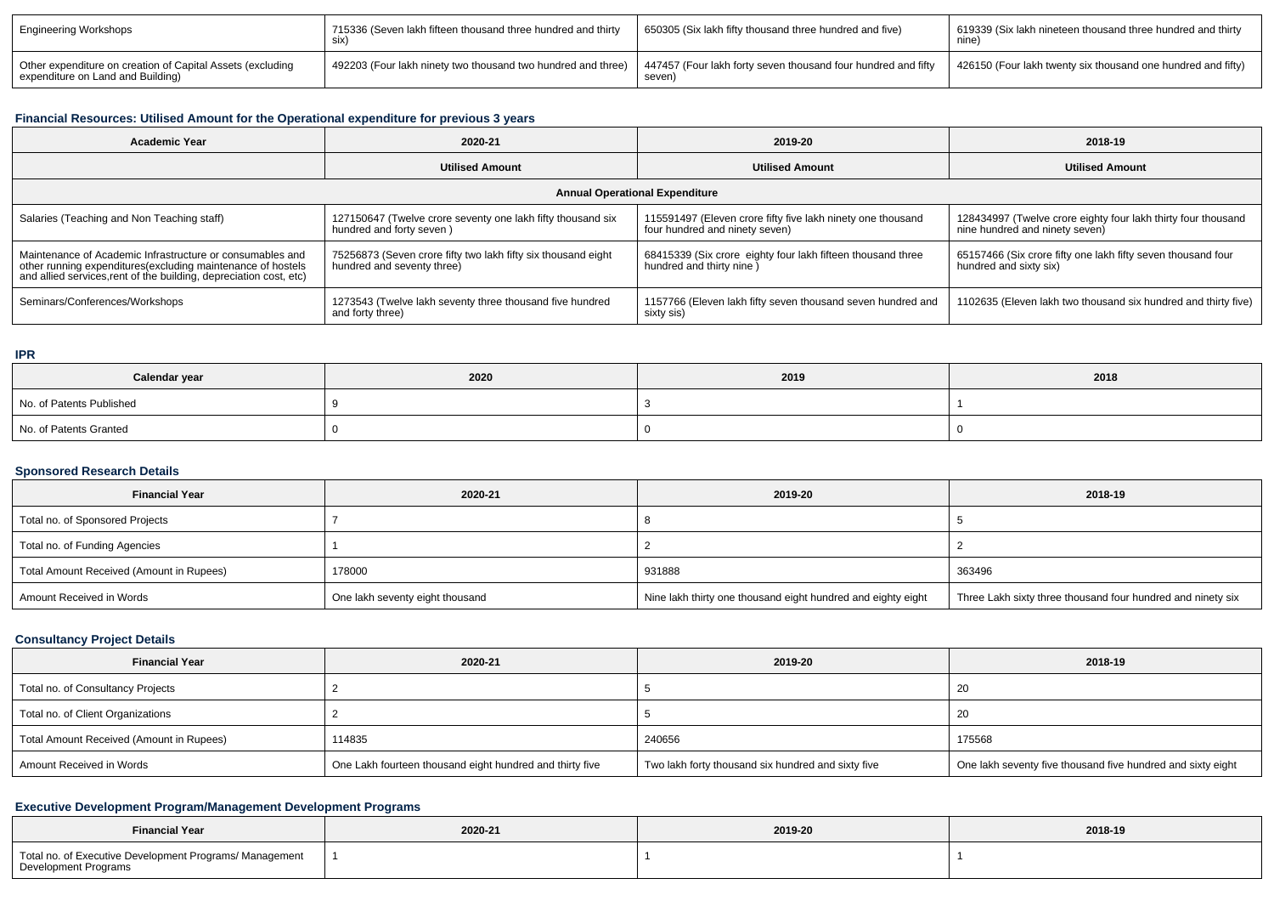| <b>Engineering Workshops</b>                                                                    | 715336 (Seven lakh fifteen thousand three hundred and thirty<br>SIX) | 650305 (Six lakh fifty thousand three hundred and five)                 | 619339 (Six lakh nineteen thousand three hundred and thirty<br>nine. |
|-------------------------------------------------------------------------------------------------|----------------------------------------------------------------------|-------------------------------------------------------------------------|----------------------------------------------------------------------|
| Other expenditure on creation of Capital Assets (excluding<br>expenditure on Land and Building) | 492203 (Four lakh ninety two thousand two hundred and three)         | 447457 (Four lakh forty seven thousand four hundred and fifty<br>seven) | 426150 (Four lakh twenty six thousand one hundred and fifty)         |

# **Financial Resources: Utilised Amount for the Operational expenditure for previous 3 years**

| <b>Academic Year</b>                                                                                                                                                                            | 2020-21                                                                                     | 2019-20                                                                                       | 2018-19                                                                                         |  |  |  |  |
|-------------------------------------------------------------------------------------------------------------------------------------------------------------------------------------------------|---------------------------------------------------------------------------------------------|-----------------------------------------------------------------------------------------------|-------------------------------------------------------------------------------------------------|--|--|--|--|
|                                                                                                                                                                                                 | <b>Utilised Amount</b>                                                                      | <b>Utilised Amount</b>                                                                        | <b>Utilised Amount</b>                                                                          |  |  |  |  |
| <b>Annual Operational Expenditure</b>                                                                                                                                                           |                                                                                             |                                                                                               |                                                                                                 |  |  |  |  |
| Salaries (Teaching and Non Teaching staff)                                                                                                                                                      | 127150647 (Twelve crore seventy one lakh fifty thousand six<br>hundred and forty seven)     | 115591497 (Eleven crore fifty five lakh ninety one thousand<br>four hundred and ninety seven) | 128434997 (Twelve crore eighty four lakh thirty four thousand<br>nine hundred and ninety seven) |  |  |  |  |
| Maintenance of Academic Infrastructure or consumables and<br>other running expenditures (excluding maintenance of hostels<br>and allied services, rent of the building, depreciation cost, etc) | 75256873 (Seven crore fifty two lakh fifty six thousand eight<br>hundred and seventy three) | 68415339 (Six crore eighty four lakh fifteen thousand three<br>hundred and thirty nine )      | 65157466 (Six crore fifty one lakh fifty seven thousand four<br>hundred and sixty six)          |  |  |  |  |
| Seminars/Conferences/Workshops                                                                                                                                                                  | 1273543 (Twelve lakh seventy three thousand five hundred<br>and forty three)                | 1157766 (Eleven lakh fifty seven thousand seven hundred and<br>sixty sis)                     | 1102635 (Eleven lakh two thousand six hundred and thirty five)                                  |  |  |  |  |

#### **IPR**

| Calendar year            | 2020 | 2019 | 2018 |
|--------------------------|------|------|------|
| No. of Patents Published |      |      |      |
| No. of Patents Granted   |      |      |      |

### **Sponsored Research Details**

| <b>Financial Year</b>                    | 2020-21                         | 2019-20                                                      | 2018-19                                                     |
|------------------------------------------|---------------------------------|--------------------------------------------------------------|-------------------------------------------------------------|
| Total no. of Sponsored Projects          |                                 |                                                              |                                                             |
| Total no. of Funding Agencies            |                                 |                                                              |                                                             |
| Total Amount Received (Amount in Rupees) | 178000                          | 931888                                                       | 363496                                                      |
| Amount Received in Words                 | One lakh seventy eight thousand | Nine lakh thirty one thousand eight hundred and eighty eight | Three Lakh sixty three thousand four hundred and ninety six |

## **Consultancy Project Details**

| <b>Financial Year</b>                    | 2020-21                                                  | 2019-20                                            | 2018-19                                                     |
|------------------------------------------|----------------------------------------------------------|----------------------------------------------------|-------------------------------------------------------------|
| Total no. of Consultancy Projects        |                                                          |                                                    | 20                                                          |
| Total no. of Client Organizations        |                                                          |                                                    | 20                                                          |
| Total Amount Received (Amount in Rupees) | 114835                                                   | 240656                                             | 175568                                                      |
| Amount Received in Words                 | One Lakh fourteen thousand eight hundred and thirty five | Two lakh forty thousand six hundred and sixty five | One lakh seventy five thousand five hundred and sixty eight |

## **Executive Development Program/Management Development Programs**

| <b>Financial Year</b>                                                                  | 2020-21<br>the contract of the contract of the | 2019-20<br>. | 2018-19 |
|----------------------------------------------------------------------------------------|------------------------------------------------|--------------|---------|
| Total no. of Executive Development Programs/ Management<br><b>Development Programs</b> |                                                |              |         |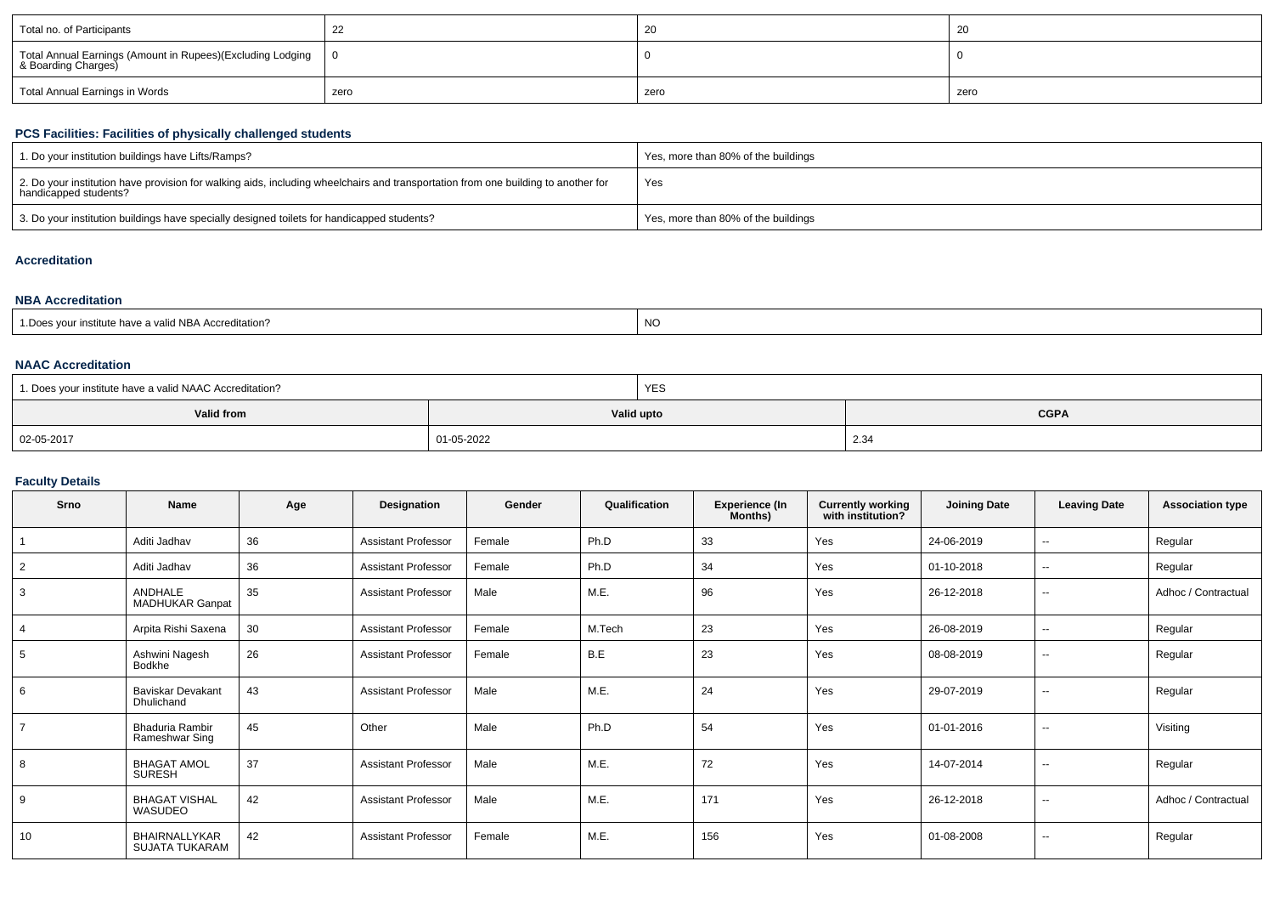| Total no. of Participants                                  | <u>__</u> |      | -40  |
|------------------------------------------------------------|-----------|------|------|
| Total Annual Earnings (Amount in Rupees)(Excluding Lodging |           |      |      |
| Total Annual Earnings in Words                             | zero      | zero | zero |

# **PCS Facilities: Facilities of physically challenged students**

| 1. Do your institution buildings have Lifts/Ramps?                                                                                                         | Yes, more than 80% of the buildings |
|------------------------------------------------------------------------------------------------------------------------------------------------------------|-------------------------------------|
| 2. Do your institution have provision for walking aids, including wheelchairs and transportation from one building to another for<br>handicapped students? | Yes                                 |
| 3. Do your institution buildings have specially designed toilets for handicapped students?                                                                 | Yes, more than 80% of the buildings |

# **Accreditation**

#### **NBA Accreditation**

| ≀ valid NBA Accreditation?<br>r institute nave a ' | <b>NO</b> |
|----------------------------------------------------|-----------|
|----------------------------------------------------|-----------|

#### **NAAC Accreditation**

| 1. Does your institute have a valid NAAC Accreditation? |            | <b>YES</b>                |      |  |  |
|---------------------------------------------------------|------------|---------------------------|------|--|--|
| Valid from                                              |            | Valid upto<br><b>CGPA</b> |      |  |  |
| 02-05-2017                                              | 01-05-2022 |                           | 2.34 |  |  |

## **Faculty Details**

| Srno           | <b>Name</b>                              | Age | Designation                | Gender | Qualification | <b>Experience (In</b><br>Months) | <b>Currently working</b><br>with institution? | <b>Joining Date</b> | <b>Leaving Date</b>      | <b>Association type</b> |
|----------------|------------------------------------------|-----|----------------------------|--------|---------------|----------------------------------|-----------------------------------------------|---------------------|--------------------------|-------------------------|
|                | Aditi Jadhav                             | 36  | <b>Assistant Professor</b> | Female | Ph.D          | 33                               | Yes                                           | 24-06-2019          | $\overline{\phantom{a}}$ | Regular                 |
| $\overline{2}$ | Aditi Jadhav                             | 36  | <b>Assistant Professor</b> | Female | Ph.D          | 34                               | Yes                                           | 01-10-2018          | $\overline{\phantom{a}}$ | Regular                 |
| 3              | <b>ANDHALE</b><br><b>MADHUKAR Ganpat</b> | 35  | <b>Assistant Professor</b> | Male   | M.E.          | 96                               | Yes                                           | 26-12-2018          | $\sim$                   | Adhoc / Contractual     |
| $\overline{4}$ | Arpita Rishi Saxena                      | 30  | <b>Assistant Professor</b> | Female | M.Tech        | 23                               | Yes                                           | 26-08-2019          | $\overline{\phantom{a}}$ | Regular                 |
| 5              | Ashwini Nagesh<br>Bodkhe                 | 26  | <b>Assistant Professor</b> | Female | B.E           | 23                               | Yes                                           | 08-08-2019          | $\sim$                   | Regular                 |
| 6              | <b>Baviskar Devakant</b><br>Dhulichand   | 43  | <b>Assistant Professor</b> | Male   | M.E.          | 24                               | Yes                                           | 29-07-2019          | $\sim$                   | Regular                 |
| $\overline{7}$ | <b>Bhaduria Rambir</b><br>Rameshwar Sing | 45  | Other                      | Male   | Ph.D          | 54                               | Yes                                           | 01-01-2016          | $\overline{\phantom{a}}$ | Visiting                |
| 8              | <b>BHAGAT AMOL</b><br><b>SURESH</b>      | 37  | <b>Assistant Professor</b> | Male   | M.E.          | 72                               | Yes                                           | 14-07-2014          | $\sim$                   | Regular                 |
| 9              | <b>BHAGAT VISHAL</b><br>WASUDEO          | 42  | <b>Assistant Professor</b> | Male   | M.E.          | 171                              | Yes                                           | 26-12-2018          | $\sim$                   | Adhoc / Contractual     |
| 10             | BHAIRNALLYKAR<br><b>SUJATA TUKARAM</b>   | 42  | <b>Assistant Professor</b> | Female | M.E.          | 156                              | Yes                                           | 01-08-2008          | $\sim$                   | Regular                 |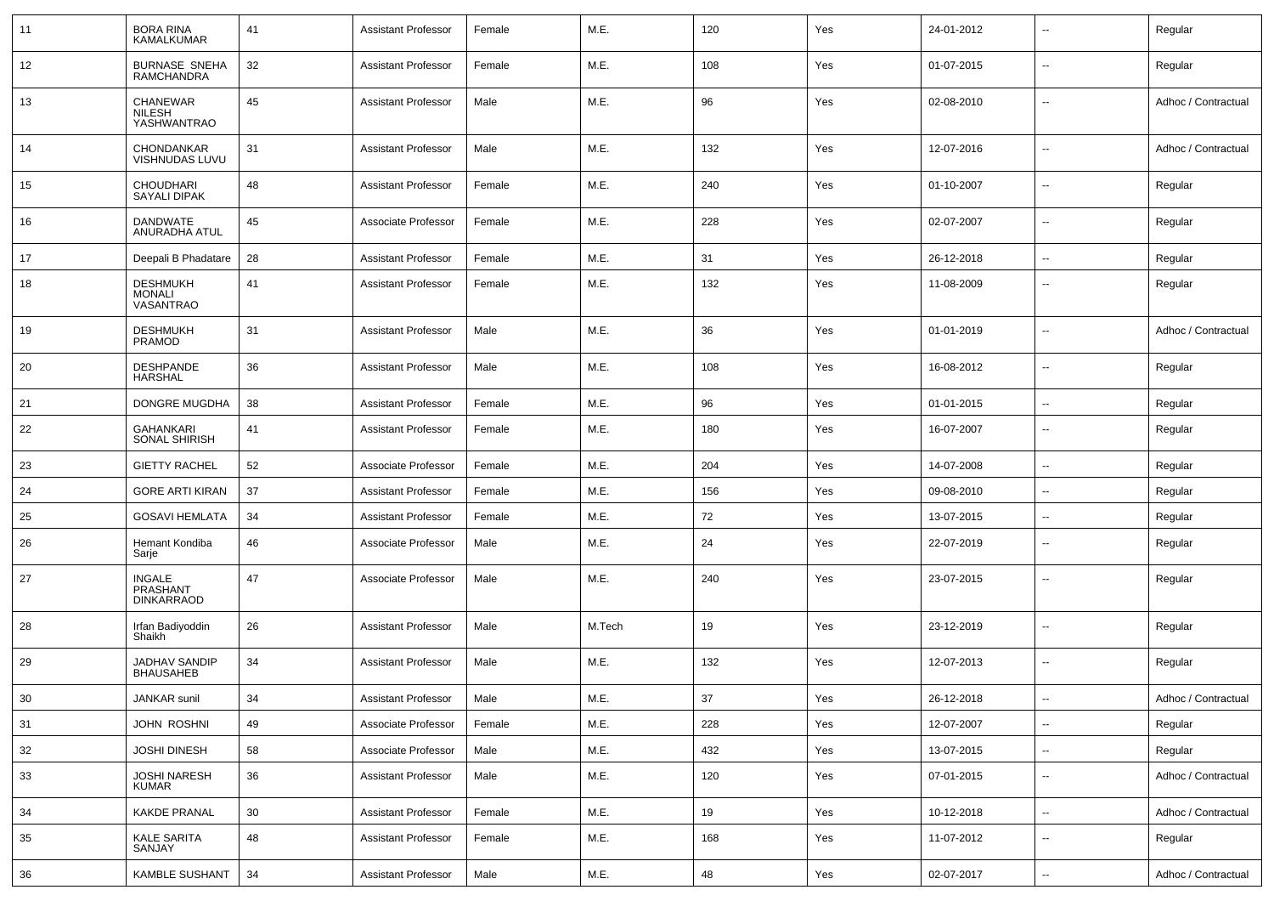| 11 | <b>BORA RINA</b><br><b>KAMALKUMAR</b>          | 41 | <b>Assistant Professor</b> | Female | M.E.   | 120 | Yes | 24-01-2012 | --                       | Regular             |
|----|------------------------------------------------|----|----------------------------|--------|--------|-----|-----|------------|--------------------------|---------------------|
| 12 | <b>BURNASE SNEHA</b><br><b>RAMCHANDRA</b>      | 32 | <b>Assistant Professor</b> | Female | M.E.   | 108 | Yes | 01-07-2015 | $\overline{\phantom{a}}$ | Regular             |
| 13 | <b>CHANEWAR</b><br>NILESH<br>YASHWANTRAO       | 45 | <b>Assistant Professor</b> | Male   | M.E.   | 96  | Yes | 02-08-2010 | $\sim$                   | Adhoc / Contractual |
| 14 | CHONDANKAR<br>VISHNUDAS LUVU                   | 31 | <b>Assistant Professor</b> | Male   | M.E.   | 132 | Yes | 12-07-2016 | $\overline{a}$           | Adhoc / Contractual |
| 15 | <b>CHOUDHARI</b><br>SAYALI DIPAK               | 48 | <b>Assistant Professor</b> | Female | M.E.   | 240 | Yes | 01-10-2007 | $\overline{a}$           | Regular             |
| 16 | <b>DANDWATE</b><br>ANURADHA ATUL               | 45 | Associate Professor        | Female | M.E.   | 228 | Yes | 02-07-2007 | u.                       | Regular             |
| 17 | Deepali B Phadatare                            | 28 | <b>Assistant Professor</b> | Female | M.E.   | 31  | Yes | 26-12-2018 | $\overline{\phantom{a}}$ | Regular             |
| 18 | <b>DESHMUKH</b><br><b>MONALI</b><br>VASANTRAO  | 41 | <b>Assistant Professor</b> | Female | M.E.   | 132 | Yes | 11-08-2009 | ۰.                       | Regular             |
| 19 | <b>DESHMUKH</b><br><b>PRAMOD</b>               | 31 | <b>Assistant Professor</b> | Male   | M.E.   | 36  | Yes | 01-01-2019 | $\overline{a}$           | Adhoc / Contractual |
| 20 | <b>DESHPANDE</b><br><b>HARSHAL</b>             | 36 | <b>Assistant Professor</b> | Male   | M.E.   | 108 | Yes | 16-08-2012 | $\overline{a}$           | Regular             |
| 21 | DONGRE MUGDHA                                  | 38 | <b>Assistant Professor</b> | Female | M.E.   | 96  | Yes | 01-01-2015 | $\overline{\phantom{a}}$ | Regular             |
| 22 | GAHANKARI<br>SONAL SHIRISH                     | 41 | <b>Assistant Professor</b> | Female | M.E.   | 180 | Yes | 16-07-2007 | ۰.                       | Regular             |
| 23 | <b>GIETTY RACHEL</b>                           | 52 | Associate Professor        | Female | M.E.   | 204 | Yes | 14-07-2008 | $\overline{\phantom{a}}$ | Regular             |
| 24 | <b>GORE ARTI KIRAN</b>                         | 37 | <b>Assistant Professor</b> | Female | M.E.   | 156 | Yes | 09-08-2010 | $\overline{a}$           | Regular             |
| 25 | <b>GOSAVI HEMLATA</b>                          | 34 | <b>Assistant Professor</b> | Female | M.E.   | 72  | Yes | 13-07-2015 | $\overline{a}$           | Regular             |
| 26 | Hemant Kondiba<br>Sarje                        | 46 | Associate Professor        | Male   | M.E.   | 24  | Yes | 22-07-2019 | ۰.                       | Regular             |
| 27 | <b>INGALE</b><br>PRASHANT<br><b>DINKARRAOD</b> | 47 | Associate Professor        | Male   | M.E.   | 240 | Yes | 23-07-2015 | --                       | Regular             |
| 28 | Irfan Badiyoddin<br>Shaikh                     | 26 | <b>Assistant Professor</b> | Male   | M.Tech | 19  | Yes | 23-12-2019 | $\overline{a}$           | Regular             |
| 29 | <b>JADHAV SANDIP</b><br><b>BHAUSAHEB</b>       | 34 | <b>Assistant Professor</b> | Male   | M.E.   | 132 | Yes | 12-07-2013 | $\overline{\phantom{a}}$ | Regular             |
| 30 | JANKAR sunil                                   | 34 | <b>Assistant Professor</b> | Male   | M.E.   | 37  | Yes | 26-12-2018 | ۰.                       | Adhoc / Contractual |
| 31 | <b>JOHN ROSHNI</b>                             | 49 | Associate Professor        | Female | M.E.   | 228 | Yes | 12-07-2007 | $\overline{\phantom{a}}$ | Regular             |
| 32 | <b>JOSHI DINESH</b>                            | 58 | Associate Professor        | Male   | M.E.   | 432 | Yes | 13-07-2015 | $\overline{\phantom{a}}$ | Regular             |
| 33 | <b>JOSHI NARESH</b><br>KUMAR                   | 36 | <b>Assistant Professor</b> | Male   | M.E.   | 120 | Yes | 07-01-2015 | Ξ.                       | Adhoc / Contractual |
| 34 | KAKDE PRANAL                                   | 30 | <b>Assistant Professor</b> | Female | M.E.   | 19  | Yes | 10-12-2018 | Щ,                       | Adhoc / Contractual |
| 35 | <b>KALE SARITA</b><br>SANJAY                   | 48 | <b>Assistant Professor</b> | Female | M.E.   | 168 | Yes | 11-07-2012 | $\overline{\phantom{a}}$ | Regular             |
| 36 | <b>KAMBLE SUSHANT</b>                          | 34 | <b>Assistant Professor</b> | Male   | M.E.   | 48  | Yes | 02-07-2017 | ÷                        | Adhoc / Contractual |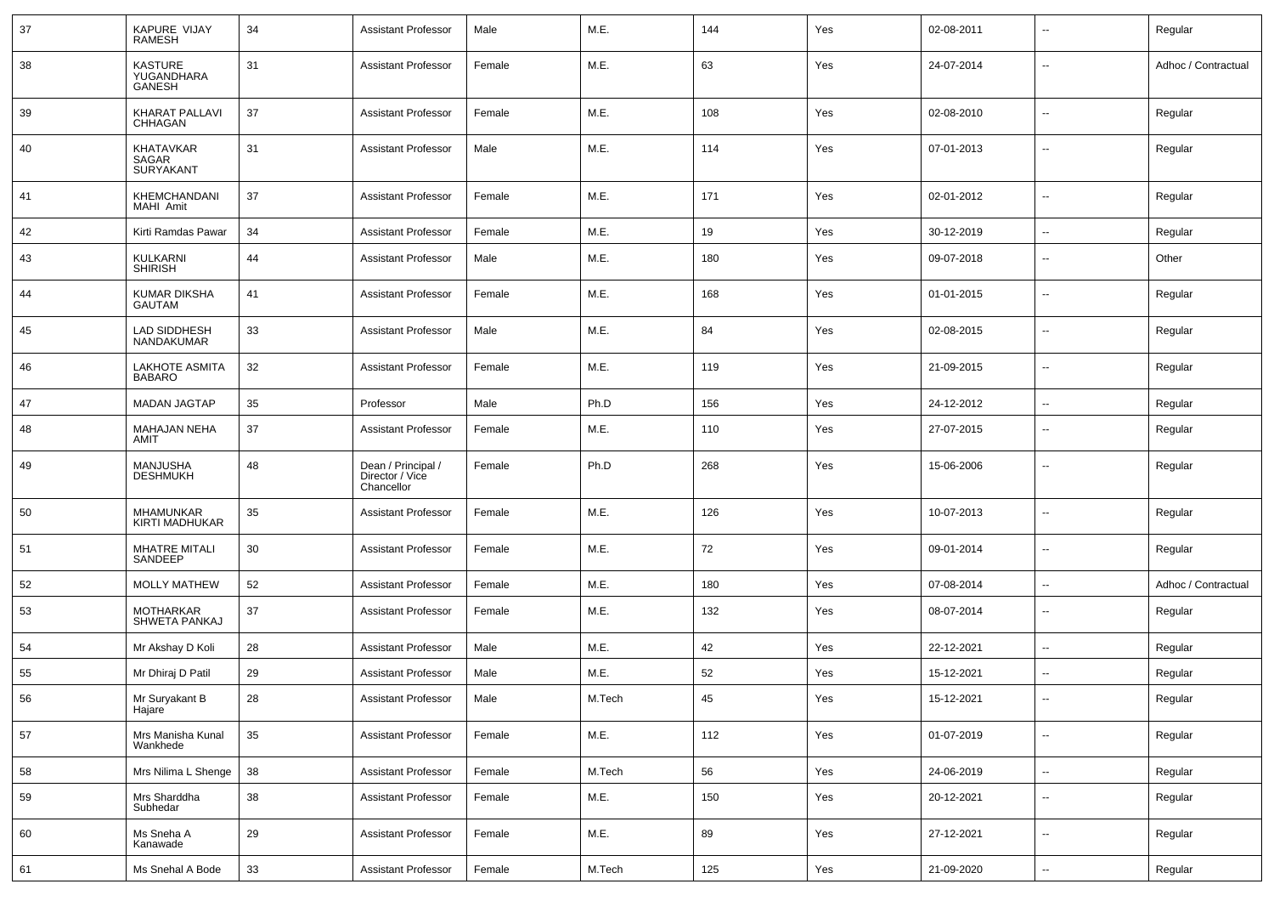| 37 | KAPURE VIJAY<br><b>RAMESH</b>                        | 34 | <b>Assistant Professor</b>                          | Male   | M.E.   | 144 | Yes | 02-08-2011 | $\sim$                   | Regular             |
|----|------------------------------------------------------|----|-----------------------------------------------------|--------|--------|-----|-----|------------|--------------------------|---------------------|
| 38 | <b>KASTURE</b><br><b>YUGANDHARA</b><br><b>GANESH</b> | 31 | <b>Assistant Professor</b>                          | Female | M.E.   | 63  | Yes | 24-07-2014 | $\mathbf{u}$             | Adhoc / Contractual |
| 39 | <b>KHARAT PALLAVI</b><br>CHHAGAN                     | 37 | <b>Assistant Professor</b>                          | Female | M.E.   | 108 | Yes | 02-08-2010 | $\sim$                   | Regular             |
| 40 | KHATAVKAR<br>SAGAR<br><b>SURYAKANT</b>               | 31 | <b>Assistant Professor</b>                          | Male   | M.E.   | 114 | Yes | 07-01-2013 | $\sim$                   | Regular             |
| 41 | KHEMCHANDANI<br>MAHI Amit                            | 37 | <b>Assistant Professor</b>                          | Female | M.E.   | 171 | Yes | 02-01-2012 | Ξ.                       | Regular             |
| 42 | Kirti Ramdas Pawar                                   | 34 | <b>Assistant Professor</b>                          | Female | M.E.   | 19  | Yes | 30-12-2019 | Ξ.                       | Regular             |
| 43 | KULKARNI<br><b>SHIRISH</b>                           | 44 | <b>Assistant Professor</b>                          | Male   | M.E.   | 180 | Yes | 09-07-2018 | $\sim$                   | Other               |
| 44 | <b>KUMAR DIKSHA</b><br><b>GAUTAM</b>                 | 41 | <b>Assistant Professor</b>                          | Female | M.E.   | 168 | Yes | 01-01-2015 | $\sim$                   | Regular             |
| 45 | LAD SIDDHESH<br>NANDAKUMAR                           | 33 | <b>Assistant Professor</b>                          | Male   | M.E.   | 84  | Yes | 02-08-2015 | $\sim$                   | Regular             |
| 46 | <b>LAKHOTE ASMITA</b><br><b>BABARO</b>               | 32 | <b>Assistant Professor</b>                          | Female | M.E.   | 119 | Yes | 21-09-2015 | $\sim$                   | Regular             |
| 47 | <b>MADAN JAGTAP</b>                                  | 35 | Professor                                           | Male   | Ph.D   | 156 | Yes | 24-12-2012 | $\sim$                   | Regular             |
| 48 | <b>MAHAJAN NEHA</b><br>AMIT                          | 37 | <b>Assistant Professor</b>                          | Female | M.E.   | 110 | Yes | 27-07-2015 | $\sim$                   | Regular             |
| 49 | <b>MANJUSHA</b><br><b>DESHMUKH</b>                   | 48 | Dean / Principal /<br>Director / Vice<br>Chancellor | Female | Ph.D   | 268 | Yes | 15-06-2006 | $\mathbf{u}$             | Regular             |
| 50 | MHAMUNKAR<br>KIRTI MADHUKAR                          | 35 | <b>Assistant Professor</b>                          | Female | M.E.   | 126 | Yes | 10-07-2013 | $\sim$                   | Regular             |
| 51 | <b>MHATRE MITALI</b><br>SANDEEP                      | 30 | <b>Assistant Professor</b>                          | Female | M.E.   | 72  | Yes | 09-01-2014 | $\sim$                   | Regular             |
| 52 | <b>MOLLY MATHEW</b>                                  | 52 | <b>Assistant Professor</b>                          | Female | M.E.   | 180 | Yes | 07-08-2014 | $\sim$                   | Adhoc / Contractual |
| 53 | <b>MOTHARKAR</b><br>SHWETA PANKAJ                    | 37 | <b>Assistant Professor</b>                          | Female | M.E.   | 132 | Yes | 08-07-2014 | $\sim$                   | Regular             |
| 54 | Mr Akshay D Koli                                     | 28 | <b>Assistant Professor</b>                          | Male   | M.E.   | 42  | Yes | 22-12-2021 | $\overline{a}$           | Regular             |
| 55 | Mr Dhiraj D Patil                                    | 29 | <b>Assistant Professor</b>                          | Male   | M.E.   | 52  | Yes | 15-12-2021 | --                       | Regular             |
| 56 | Mr Suryakant B<br>Hajare <sup>®</sup>                | 28 | <b>Assistant Professor</b>                          | Male   | M.Tech | 45  | Yes | 15-12-2021 | $\sim$                   | Regular             |
| 57 | Mrs Manisha Kunal<br>Wankhede                        | 35 | <b>Assistant Professor</b>                          | Female | M.E.   | 112 | Yes | 01-07-2019 | $\sim$                   | Regular             |
| 58 | Mrs Nilima L Shenge                                  | 38 | <b>Assistant Professor</b>                          | Female | M.Tech | 56  | Yes | 24-06-2019 | $\overline{\phantom{a}}$ | Regular             |
| 59 | Mrs Sharddha<br>Subhedar                             | 38 | <b>Assistant Professor</b>                          | Female | M.E.   | 150 | Yes | 20-12-2021 | $\sim$                   | Regular             |
| 60 | Ms Sneha A<br>Kanawade                               | 29 | <b>Assistant Professor</b>                          | Female | M.E.   | 89  | Yes | 27-12-2021 | $\sim$                   | Regular             |
| 61 | Ms Snehal A Bode                                     | 33 | <b>Assistant Professor</b>                          | Female | M.Tech | 125 | Yes | 21-09-2020 | ш.                       | Regular             |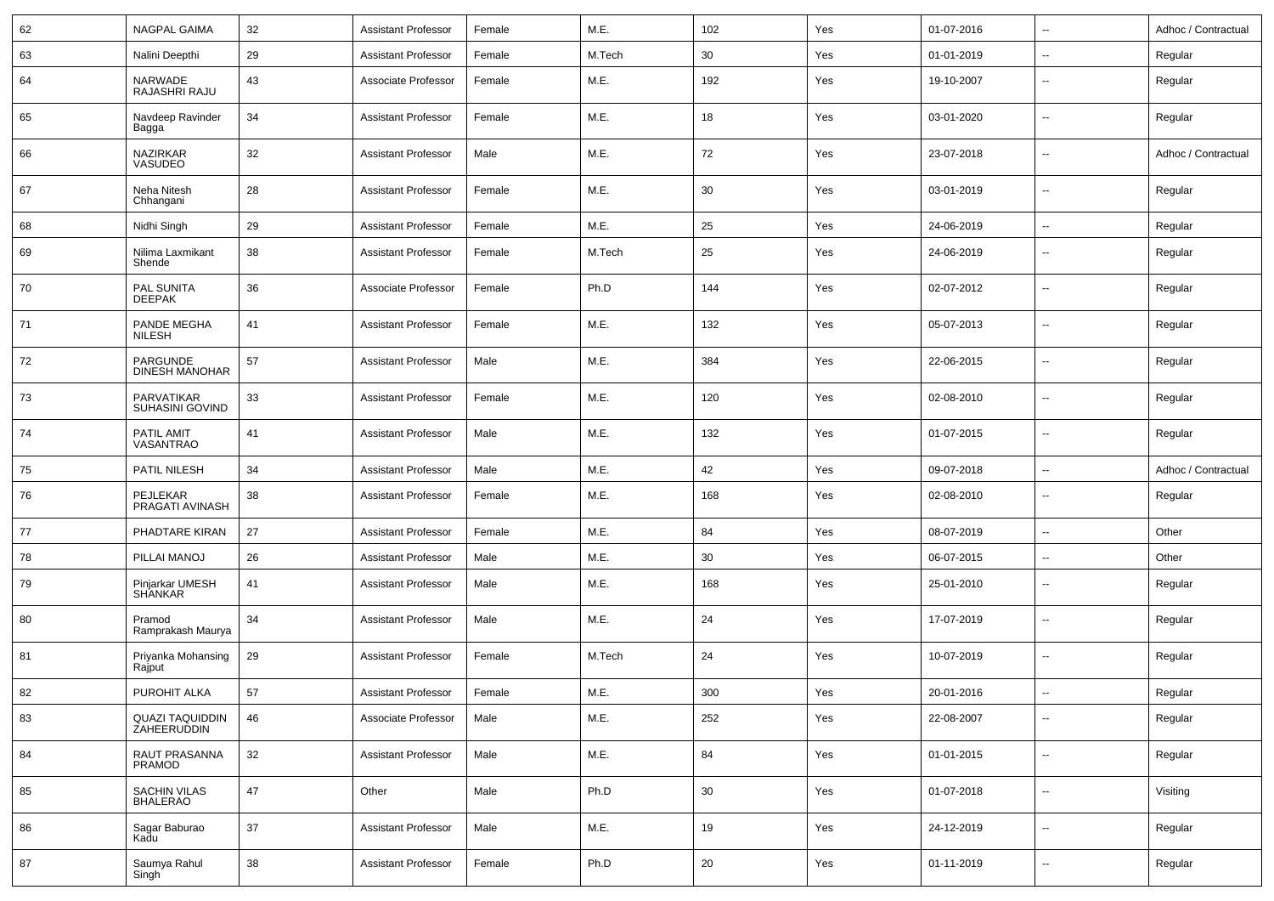| 62 | <b>NAGPAL GAIMA</b>                   | 32     | <b>Assistant Professor</b> | Female | M.E.   | 102 | Yes | 01-07-2016 | $\overline{\phantom{a}}$ | Adhoc / Contractual |
|----|---------------------------------------|--------|----------------------------|--------|--------|-----|-----|------------|--------------------------|---------------------|
| 63 | Nalini Deepthi                        | 29     | <b>Assistant Professor</b> | Female | M.Tech | 30  | Yes | 01-01-2019 | $\overline{\phantom{a}}$ | Regular             |
| 64 | NARWADE<br>RAJASHRI RAJU              | 43     | Associate Professor        | Female | M.E.   | 192 | Yes | 19-10-2007 | $\overline{\phantom{a}}$ | Regular             |
| 65 | Navdeep Ravinder<br>Bagga             | 34     | <b>Assistant Professor</b> | Female | M.E.   | 18  | Yes | 03-01-2020 | $\mathbf{u}$             | Regular             |
| 66 | NAZIRKAR<br>VASUDEO                   | 32     | <b>Assistant Professor</b> | Male   | M.E.   | 72  | Yes | 23-07-2018 | $\overline{\phantom{a}}$ | Adhoc / Contractual |
| 67 | Neha Nitesh<br>Chhangani              | 28     | <b>Assistant Professor</b> | Female | M.E.   | 30  | Yes | 03-01-2019 | $\overline{\phantom{a}}$ | Regular             |
| 68 | Nidhi Singh                           | 29     | <b>Assistant Professor</b> | Female | M.E.   | 25  | Yes | 24-06-2019 | $\mathbf{u}$             | Regular             |
| 69 | Nilima Laxmikant<br>Shende            | 38     | <b>Assistant Professor</b> | Female | M.Tech | 25  | Yes | 24-06-2019 | $\overline{\phantom{a}}$ | Regular             |
| 70 | PAL SUNITA<br><b>DEEPAK</b>           | 36     | Associate Professor        | Female | Ph.D   | 144 | Yes | 02-07-2012 | $\overline{\phantom{a}}$ | Regular             |
| 71 | PANDE MEGHA<br><b>NILESH</b>          | 41     | <b>Assistant Professor</b> | Female | M.E.   | 132 | Yes | 05-07-2013 | $\overline{\phantom{a}}$ | Regular             |
| 72 | PARGUNDE<br><b>DINESH MANOHAR</b>     | 57     | <b>Assistant Professor</b> | Male   | M.E.   | 384 | Yes | 22-06-2015 | $\overline{\phantom{a}}$ | Regular             |
| 73 | PARVATIKAR<br>SUHASINI GOVIND         | 33     | <b>Assistant Professor</b> | Female | M.E.   | 120 | Yes | 02-08-2010 | $\overline{\phantom{a}}$ | Regular             |
| 74 | PATIL AMIT<br>VASANTRAO               | 41     | <b>Assistant Professor</b> | Male   | M.E.   | 132 | Yes | 01-07-2015 | $\overline{\phantom{a}}$ | Regular             |
| 75 | <b>PATIL NILESH</b>                   | 34     | <b>Assistant Professor</b> | Male   | M.E.   | 42  | Yes | 09-07-2018 | $\overline{\phantom{a}}$ | Adhoc / Contractual |
| 76 | <b>PEJLEKAR</b><br>PRAGATI AVINASH    | 38     | <b>Assistant Professor</b> | Female | M.E.   | 168 | Yes | 02-08-2010 | $\overline{\phantom{a}}$ | Regular             |
| 77 | PHADTARE KIRAN                        | 27     | <b>Assistant Professor</b> | Female | M.E.   | 84  | Yes | 08-07-2019 | $\overline{\phantom{a}}$ | Other               |
| 78 | PILLAI MANOJ                          | 26     | <b>Assistant Professor</b> | Male   | M.E.   | 30  | Yes | 06-07-2015 | $\mathbf{u}$             | Other               |
| 79 | Pinjarkar UMESH<br><b>SHANKAR</b>     | 41     | <b>Assistant Professor</b> | Male   | M.E.   | 168 | Yes | 25-01-2010 | $\overline{\phantom{a}}$ | Regular             |
| 80 | Pramod<br>Ramprakash Maurya           | 34     | <b>Assistant Professor</b> | Male   | M.E.   | 24  | Yes | 17-07-2019 | $\overline{\phantom{a}}$ | Regular             |
| 81 | Priyanka Mohansing<br>Rajput          | 29     | <b>Assistant Professor</b> | Female | M.Tech | 24  | Yes | 10-07-2019 | $\overline{\phantom{a}}$ | Regular             |
| 82 | PUROHIT ALKA                          | $57\,$ | Assistant Professor        | Female | M.E.   | 300 | Yes | 20-01-2016 | $\overline{\phantom{a}}$ | Regular             |
| 83 | QUAZI TAQUIDDIN<br>ZAHEERUDDIN        | 46     | Associate Professor        | Male   | M.E.   | 252 | Yes | 22-08-2007 | ۰.                       | Regular             |
| 84 | <b>RAUT PRASANNA</b><br><b>PRAMOD</b> | 32     | <b>Assistant Professor</b> | Male   | M.E.   | 84  | Yes | 01-01-2015 | $\overline{\phantom{a}}$ | Regular             |
| 85 | SACHIN VILAS<br>BHALERAO              | $47\,$ | Other                      | Male   | Ph.D   | 30  | Yes | 01-07-2018 | ۰.                       | Visiting            |
| 86 | Sagar Baburao<br>Kadu                 | 37     | <b>Assistant Professor</b> | Male   | M.E.   | 19  | Yes | 24-12-2019 | $\overline{\phantom{a}}$ | Regular             |
| 87 | Saumya Rahul<br>Singh                 | 38     | <b>Assistant Professor</b> | Female | Ph.D   | 20  | Yes | 01-11-2019 | ۰.                       | Regular             |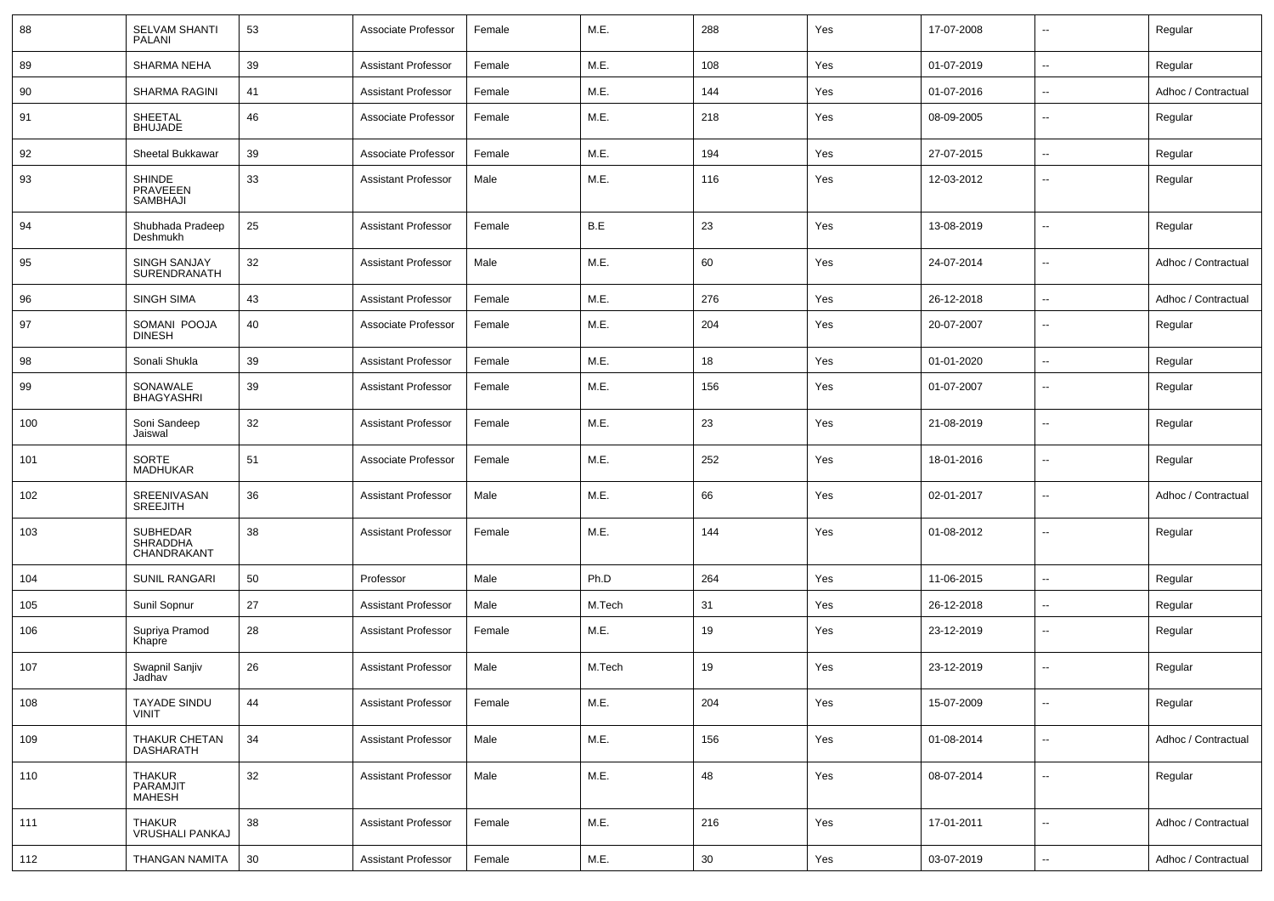| 88  | <b>SELVAM SHANTI</b><br><b>PALANI</b>             | 53 | Associate Professor        | Female | M.E.   | 288 | Yes | 17-07-2008 | ۰.                       | Regular             |
|-----|---------------------------------------------------|----|----------------------------|--------|--------|-----|-----|------------|--------------------------|---------------------|
| 89  | SHARMA NEHA                                       | 39 | <b>Assistant Professor</b> | Female | M.E.   | 108 | Yes | 01-07-2019 | --                       | Regular             |
| 90  | <b>SHARMA RAGINI</b>                              | 41 | <b>Assistant Professor</b> | Female | M.E.   | 144 | Yes | 01-07-2016 | $\overline{\phantom{a}}$ | Adhoc / Contractual |
| 91  | <b>SHEETAL</b><br><b>BHUJADE</b>                  | 46 | Associate Professor        | Female | M.E.   | 218 | Yes | 08-09-2005 | ۰.                       | Regular             |
| 92  | Sheetal Bukkawar                                  | 39 | Associate Professor        | Female | M.E.   | 194 | Yes | 27-07-2015 | $\overline{\phantom{a}}$ | Regular             |
| 93  | <b>SHINDE</b><br>PRAVEEEN<br>SAMBHAJI             | 33 | <b>Assistant Professor</b> | Male   | M.E.   | 116 | Yes | 12-03-2012 | --                       | Regular             |
| 94  | Shubhada Pradeep<br>Deshmukh                      | 25 | <b>Assistant Professor</b> | Female | B.E    | 23  | Yes | 13-08-2019 | $\overline{\phantom{a}}$ | Regular             |
| 95  | SINGH SANJAY<br>SURENDRANATH                      | 32 | <b>Assistant Professor</b> | Male   | M.E.   | 60  | Yes | 24-07-2014 | $\overline{\phantom{a}}$ | Adhoc / Contractual |
| 96  | <b>SINGH SIMA</b>                                 | 43 | <b>Assistant Professor</b> | Female | M.E.   | 276 | Yes | 26-12-2018 | $\overline{\phantom{a}}$ | Adhoc / Contractual |
| 97  | SOMANI POOJA<br><b>DINESH</b>                     | 40 | Associate Professor        | Female | M.E.   | 204 | Yes | 20-07-2007 | --                       | Regular             |
| 98  | Sonali Shukla                                     | 39 | <b>Assistant Professor</b> | Female | M.E.   | 18  | Yes | 01-01-2020 | ۰.                       | Regular             |
| 99  | SONAWALE<br><b>BHAGYASHRI</b>                     | 39 | <b>Assistant Professor</b> | Female | M.E.   | 156 | Yes | 01-07-2007 | ۰.                       | Regular             |
| 100 | Soni Sandeep<br>Jaiswal                           | 32 | <b>Assistant Professor</b> | Female | M.E.   | 23  | Yes | 21-08-2019 | $\overline{\phantom{a}}$ | Regular             |
| 101 | SORTE<br><b>MADHUKAR</b>                          | 51 | Associate Professor        | Female | M.E.   | 252 | Yes | 18-01-2016 | $\overline{\phantom{a}}$ | Regular             |
| 102 | SREENIVASAN<br><b>SREEJITH</b>                    | 36 | <b>Assistant Professor</b> | Male   | M.E.   | 66  | Yes | 02-01-2017 | ۰.                       | Adhoc / Contractual |
| 103 | <b>SUBHEDAR</b><br><b>SHRADDHA</b><br>CHANDRAKANT | 38 | <b>Assistant Professor</b> | Female | M.E.   | 144 | Yes | 01-08-2012 | ۰.                       | Regular             |
| 104 | <b>SUNIL RANGARI</b>                              | 50 | Professor                  | Male   | Ph.D   | 264 | Yes | 11-06-2015 | --                       | Regular             |
| 105 | Sunil Sopnur                                      | 27 | <b>Assistant Professor</b> | Male   | M.Tech | 31  | Yes | 26-12-2018 | --                       | Regular             |
| 106 | Supriya Pramod<br>Khapre                          | 28 | <b>Assistant Professor</b> | Female | M.E.   | 19  | Yes | 23-12-2019 | $\overline{a}$           | Regular             |
| 107 | Swapnil Sanjiv<br>Jadhav                          | 26 | <b>Assistant Professor</b> | Male   | M.Tech | 19  | Yes | 23-12-2019 | $\overline{a}$           | Regular             |
| 108 | <b>TAYADE SINDU</b><br><b>VINIT</b>               | 44 | <b>Assistant Professor</b> | Female | M.E.   | 204 | Yes | 15-07-2009 | $\overline{\phantom{a}}$ | Regular             |
| 109 | THAKUR CHETAN<br>DASHARATH                        | 34 | <b>Assistant Professor</b> | Male   | M.E.   | 156 | Yes | 01-08-2014 | Ξ.                       | Adhoc / Contractual |
| 110 | THAKUR<br>PARAMJIT<br><b>MAHESH</b>               | 32 | <b>Assistant Professor</b> | Male   | M.E.   | 48  | Yes | 08-07-2014 | $\overline{\phantom{a}}$ | Regular             |
| 111 | <b>THAKUR</b><br><b>VRUSHALI PANKAJ</b>           | 38 | <b>Assistant Professor</b> | Female | M.E.   | 216 | Yes | 17-01-2011 | Ξ.                       | Adhoc / Contractual |
| 112 | THANGAN NAMITA                                    | 30 | <b>Assistant Professor</b> | Female | M.E.   | 30  | Yes | 03-07-2019 | Ξ.                       | Adhoc / Contractual |